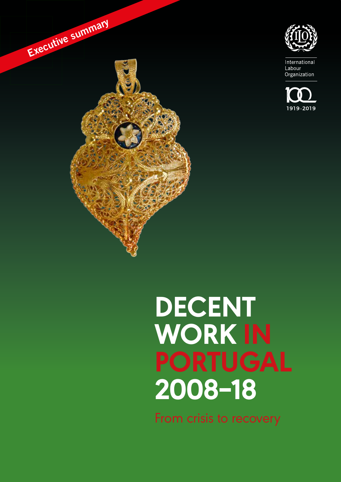

International Labour Organization





# **DECENT WORK IN PORTUGAL 2008‒18**

From crisis to recovery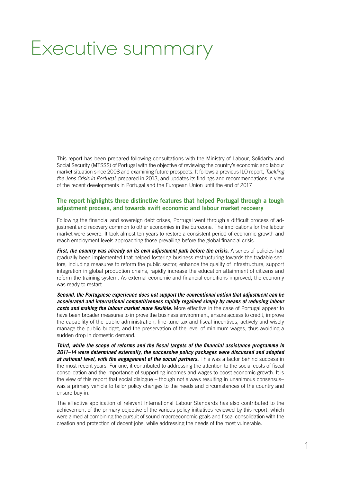# Executive summary

This report has been prepared following consultations with the Ministry of Labour, Solidarity and Social Security (MTSSS) of Portugal with the objective of reviewing the country's economic and labour market situation since 2008 and examining future prospects. It follows a previous ILO report, Tackling the Jobs Crisis in Portugal, prepared in 2013, and updates its findings and recommendations in view of the recent developments in Portugal and the European Union until the end of 2017.

#### The report highlights three distinctive features that helped Portugal through a tough adjustment process, and towards swift economic and labour market recovery

Following the financial and sovereign debt crises, Portugal went through a difficult process of adjustment and recovery common to other economies in the Eurozone. The implications for the labour market were severe. It took almost ten years to restore a consistent period of economic growth and reach employment levels approaching those prevailing before the global financial crisis.

**First, the country was already on its own adjustment path before the crisis.** A series of policies had gradually been implemented that helped fostering business restructuring towards the tradable sectors, including measures to reform the public sector, enhance the quality of infrastructure, support integration in global production chains, rapidly increase the education attainment of citizens and reform the training system. As external economic and financial conditions improved, the economy was ready to restart.

**Second, the Portuguese experience does not support the conventional notion that adjustment can be accelerated and international competitiveness rapidly regained simply by means of reducing labour costs and making the labour market more flexible.** More effective in the case of Portugal appear to have been broader measures to improve the business environment, ensure access to credit, improve the capability of the public administration, fine-tune tax and fiscal incentives, actively and wisely manage the public budget, and the preservation of the level of minimum wages, thus avoiding a sudden drop in domestic demand.

**Third, while the scope of reforms and the fiscal targets of the financial assistance programme in 2011–14 were determined externally, the successive policy packages were discussed and adopted at national level, with the engagement of the social partners.** This was a factor behind success in the most recent years. For one, it contributed to addressing the attention to the social costs of fiscal consolidation and the importance of supporting incomes and wages to boost economic growth. It is the view of this report that social dialogue – though not always resulting in unanimous consensus– was a primary vehicle to tailor policy changes to the needs and circumstances of the country and ensure buy-in.

The effective application of relevant International Labour Standards has also contributed to the achievement of the primary objective of the various policy initiatives reviewed by this report, which were aimed at combining the pursuit of sound macroeconomic goals and fiscal consolidation with the creation and protection of decent jobs, while addressing the needs of the most vulnerable.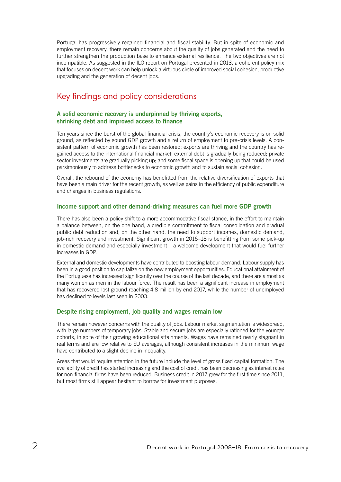Portugal has progressively regained financial and fiscal stability. But in spite of economic and employment recovery, there remain concerns about the quality of jobs generated and the need to further strengthen the production base to enhance external resilience. The two objectives are not incompatible. As suggested in the ILO report on Portugal presented in 2013, a coherent policy mix that focuses on decent work can help unlock a virtuous circle of improved social cohesion, productive upgrading and the generation of decent jobs.

## Key findings and policy considerations

#### A solid economic recovery is underpinned by thriving exports, shrinking debt and improved access to finance

Ten years since the burst of the global financial crisis, the country's economic recovery is on solid ground, as reflected by sound GDP growth and a return of employment to pre-crisis levels. A consistent pattern of economic growth has been restored; exports are thriving and the country has regained access to the international financial market; external debt is gradually being reduced; private sector investments are gradually picking up; and some fiscal space is opening up that could be used parsimoniously to address bottlenecks to economic growth and to sustain social cohesion.

Overall, the rebound of the economy has benefitted from the relative diversification of exports that have been a main driver for the recent growth, as well as gains in the efficiency of public expenditure and changes in business regulations.

#### Income support and other demand-driving measures can fuel more GDP growth

There has also been a policy shift to a more accommodative fiscal stance, in the effort to maintain a balance between, on the one hand, a credible commitment to fiscal consolidation and gradual public debt reduction and, on the other hand, the need to support incomes, domestic demand, job-rich recovery and investment. Significant growth in 2016–18 is benefitting from some pick-up in domestic demand and especially investment – a welcome development that would fuel further increases in GDP.

External and domestic developments have contributed to boosting labour demand. Labour supply has been in a good position to capitalize on the new employment opportunities. Educational attainment of the Portuguese has increased significantly over the course of the last decade, and there are almost as many women as men in the labour force. The result has been a significant increase in employment that has recovered lost ground reaching 4.8 million by end-2017, while the number of unemployed has declined to levels last seen in 2003.

#### Despite rising employment, job quality and wages remain low

There remain however concerns with the quality of jobs. Labour market segmentation is widespread, with large numbers of temporary jobs. Stable and secure jobs are especially rationed for the younger cohorts, in spite of their growing educational attainments. Wages have remained nearly stagnant in real terms and are low relative to EU averages, although consistent increases in the minimum wage have contributed to a slight decline in inequality.

Areas that would require attention in the future include the level of gross fixed capital formation. The availability of credit has started increasing and the cost of credit has been decreasing as interest rates for non-financial firms have been reduced. Business credit in 2017 grew for the first time since 2011, but most firms still appear hesitant to borrow for investment purposes.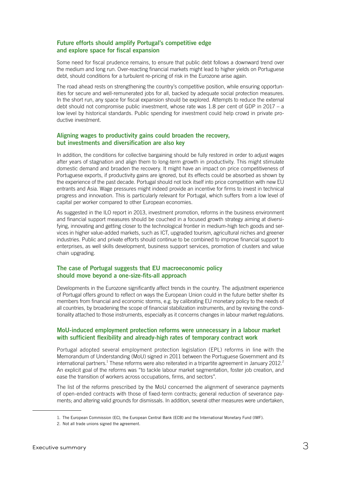#### Future efforts should amplify Portugal's competitive edge and explore space for fiscal expansion

Some need for fiscal prudence remains, to ensure that public debt follows a downward trend over the medium and long run. Over-reacting financial markets might lead to higher yields on Portuguese debt, should conditions for a turbulent re-pricing of risk in the Eurozone arise again.

The road ahead rests on strengthening the country's competitive position, while ensuring opportunities for secure and well-remunerated jobs for all, backed by adequate social protection measures. In the short run, any space for fiscal expansion should be explored. Attempts to reduce the external debt should not compromise public investment, whose rate was 1.8 per cent of GDP in 2017 – a low level by historical standards. Public spending for investment could help crowd in private productive investment.

#### Aligning wages to productivity gains could broaden the recovery, but investments and diversification are also key

In addition, the conditions for collective bargaining should be fully restored in order to adjust wages after years of stagnation and align them to long-term growth in productivity. This might stimulate domestic demand and broaden the recovery. It might have an impact on price competitiveness of Portuguese exports, if productivity gains are ignored, but its effects could be absorbed as shown by the experience of the past decade. Portugal should not lock itself into price competition with new EU entrants and Asia. Wage pressures might indeed provide an incentive for firms to invest in technical progress and innovation. This is particularly relevant for Portugal, which suffers from a low level of capital per worker compared to other European economies.

As suggested in the ILO report in 2013, investment promotion, reforms in the business environment and financial support measures should be couched in a focused growth strategy aiming at diversifying, innovating and getting closer to the technological frontier in medium-high tech goods and services in higher value-added markets, such as ICT, upgraded tourism, agricultural niches and greener industries. Public and private efforts should continue to be combined to improve financial support to enterprises, as well skills development, business support services, promotion of clusters and value chain upgrading.

#### The case of Portugal suggests that EU macroeconomic policy should move beyond a one-size-fits-all approach

Developments in the Eurozone significantly affect trends in the country. The adjustment experience of Portugal offers ground to reflect on ways the European Union could in the future better shelter its members from financial and economic storms, e.g. by calibrating EU monetary policy to the needs of all countries, by broadening the scope of financial stabilization instruments, and by revising the conditionality attached to those instruments, especially as it concerns changes in labour market regulations.

#### MoU-induced employment protection reforms were unnecessary in a labour market with sufficient flexibility and already-high rates of temporary contract work

Portugal adopted several employment protection legislation (EPL) reforms in line with the Memorandum of Understanding (MoU) signed in 2011 between the Portuguese Government and its international partners.<sup>1</sup> These reforms were also reiterated in a tripartite agreement in January 2012.<sup>2</sup> An explicit goal of the reforms was "to tackle labour market segmentation, foster job creation, and ease the transition of workers across occupations, firms, and sectors".

The list of the reforms prescribed by the MoU concerned the alignment of severance payments of open-ended contracts with those of fixed-term contracts; general reduction of severance payments; and altering valid grounds for dismissals. In addition, several other measures were undertaken,

<sup>1.</sup> The European Commission (EC), the European Central Bank (ECB) and the International Monetary Fund (IMF).

<sup>2.</sup> Not all trade unions signed the agreement.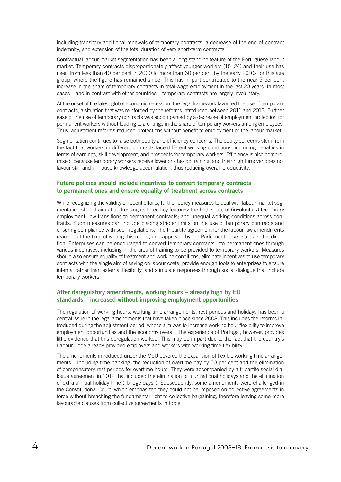including transitory additional renewals of temporary contracts, a decrease of the end-of-contract indemnity, and extension of the total duration of very short-term contracts.

Contractual labour market segmentation has been a long-standing feature of the Portuguese labour market. Temporary contracts disproportionately affect younger workers (15–24) and their use has risen from less than 40 per cent in 2000 to more than 60 per cent by the early 2010s for this age group, where the figure has remained since. This has in part contributed to the near-5 per cent increase in the share of temporary contracts in total wage employment in the last 20 years. In most cases – and in contrast with other countries – temporary contracts are largely involuntary.

At the onset of the latest global economic recession, the legal framework favoured the use of temporary contracts, a situation that was reinforced by the reforms introduced between 2011 and 2013. Further ease of the use of temporary contracts was accompanied by a decrease of employment protection for permanent workers without leading to a change in the share of temporary workers among employees. Thus, adjustment reforms reduced protections without benefit to employment or the labour market.

Segmentation continues to raise both equity and efficiency concerns. The equity concerns stem from the fact that workers in different contracts face different working conditions, including penalties in terms of earnings, skill development, and prospects for temporary workers. Efficiency is also compromised, because temporary workers receive lower on-the-job training, and their high turnover does not favour skill and in-house knowledge accumulation, thus reducing overall productivity.

#### Future policies should include incentives to convert temporary contracts to permanent ones and ensure equality of treatment across contracts

While recognizing the validity of recent efforts, further policy measures to deal with labour market segmentation should aim at addressing its three key features: the high share of (involuntary) temporary employment; low transitions to permanent contracts; and unequal working conditions across contracts. Such measures can include placing stricter limits on the use of temporary contracts and ensuring compliance with such regulations. The tripartite agreement for the labour law amendments reached at the time of writing this report, and approved by the Parliament, takes steps in this direction. Enterprises can be encouraged to convert temporary contracts into permanent ones through various incentives, including in the area of training to be provided to temporary workers. Measures should also ensure equality of treatment and working conditions, eliminate incentives to use temporary contracts with the single aim of saving on labour costs, provide enough tools to enterprises to ensure internal rather than external flexibility, and stimulate responses through social dialogue that include temporary workers.

#### After deregulatory amendments, working hours – already high by EU standards – increased without improving employment opportunities

The regulation of working hours, working time arrangements, rest periods and holidays has been a central issue in the legal amendments that have taken place since 2008. This includes the reforms introduced during the adjustment period, whose aim was to increase working hour flexibility to improve employment opportunities and the economy overall. The experience of Portugal, however, provides little evidence that this deregulation worked. This may be in part due to the fact that the country's Labour Code already provided employers and workers with working time flexibility.

The amendments introduced under the MoU covered the expansion of flexible working time arrangements – including time banking, the reduction of overtime pay by 50 per cent and the elimination of compensatory rest periods for overtime hours. They were accompanied by a tripartite social dialogue agreement in 2012 that included the elimination of four national holidays and the elimination of extra annual holiday time ("bridge days"). Subsequently, some amendments were challenged in the Constitutional Court, which emphasized they could not be imposed on collective agreements in force without breaching the fundamental right to collective bargaining, therefore leaving some more favourable clauses from collective agreements in force.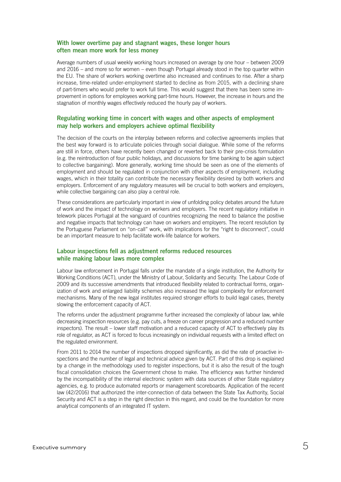#### With lower overtime pay and stagnant wages, these longer hours often mean more work for less money

Average numbers of usual weekly working hours increased on average by one hour – between 2009 and 2016 – and more so for women – even though Portugal already stood in the top quarter within the EU. The share of workers working overtime also increased and continues to rise. After a sharp increase, time-related under-employment started to decline as from 2015, with a declining share of part-timers who would prefer to work full time. This would suggest that there has been some improvement in options for employees working part-time hours. However, the increase in hours and the stagnation of monthly wages effectively reduced the hourly pay of workers.

#### Regulating working time in concert with wages and other aspects of employment may help workers and employers achieve optimal flexibility

The decision of the courts on the interplay between reforms and collective agreements implies that the best way forward is to articulate policies through social dialogue. While some of the reforms are still in force, others have recently been changed or reverted back to their pre-crisis formulation (e.g. the reintroduction of four public holidays, and discussions for time banking to be again subject to collective bargaining). More generally, working time should be seen as one of the elements of employment and should be regulated in conjunction with other aspects of employment, including wages, which in their totality can contribute the necessary flexibility desired by both workers and employers. Enforcement of any regulatory measures will be crucial to both workers and employers, while collective bargaining can also play a central role.

These considerations are particularly important in view of unfolding policy debates around the future of work and the impact of technology on workers and employers. The recent regulatory initiative in telework places Portugal at the vanguard of countries recognizing the need to balance the positive and negative impacts that technology can have on workers and employers. The recent resolution by the Portuguese Parliament on "on-call" work, with implications for the "right to disconnect", could be an important measure to help facilitate work-life balance for workers.

#### Labour inspections fell as adjustment reforms reduced resources while making labour laws more complex

Labour law enforcement in Portugal falls under the mandate of a single institution, the Authority for Working Conditions (ACT), under the Ministry of Labour, Solidarity and Security. The Labour Code of 2009 and its successive amendments that introduced flexibility related to contractual forms, organization of work and enlarged liability schemes also increased the legal complexity for enforcement mechanisms. Many of the new legal institutes required stronger efforts to build legal cases, thereby slowing the enforcement capacity of ACT.

The reforms under the adjustment programme further increased the complexity of labour law, while decreasing inspection resources (e.g. pay cuts, a freeze on career progression and a reduced number inspectors). The result – lower staff motivation and a reduced capacity of ACT to effectively play its role of regulator, as ACT is forced to focus increasingly on individual requests with a limited effect on the regulated environment.

From 2011 to 2014 the number of inspections dropped significantly, as did the rate of proactive inspections and the number of legal and technical advice given by ACT. Part of this drop is explained by a change in the methodology used to register inspections, but it is also the result of the tough fiscal consolidation choices the Government chose to make. The efficiency was further hindered by the incompatibility of the internal electronic system with data sources of other State regulatory agencies, e.g. to produce automated reports or management scoreboards. Application of the recent law (42/2016) that authorized the inter-connection of data between the State Tax Authority, Social Security and ACT is a step in the right direction in this regard, and could be the foundation for more analytical components of an integrated IT system.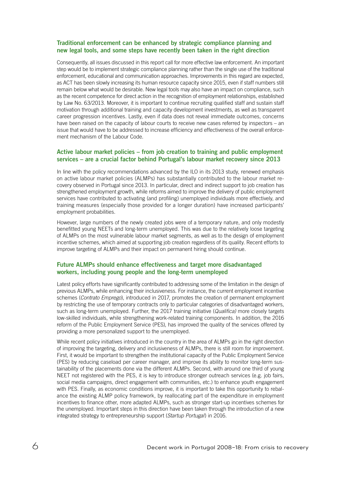#### Traditional enforcement can be enhanced by strategic compliance planning and new legal tools, and some steps have recently been taken in the right direction

Consequently, all issues discussed in this report call for more effective law enforcement. An important step would be to implement strategic compliance planning rather than the single use of the traditional enforcement, educational and communication approaches. Improvements in this regard are expected, as ACT has been slowly increasing its human resource capacity since 2015, even if staff numbers still remain below what would be desirable. New legal tools may also have an impact on compliance, such as the recent competence for direct action in the recognition of employment relationships, established by Law No. 63/2013. Moreover, it is important to continue recruiting qualified staff and sustain staff motivation through additional training and capacity development investments, as well as transparent career progression incentives. Lastly, even if data does not reveal immediate outcomes, concerns have been raised on the capacity of labour courts to receive new cases referred by inspectors – an issue that would have to be addressed to increase efficiency and effectiveness of the overall enforcement mechanism of the Labour Code.

#### Active labour market policies – from job creation to training and public employment services – are a crucial factor behind Portugal's labour market recovery since 2013

In line with the policy recommendations advanced by the ILO in its 2013 study, renewed emphasis on active labour market policies (ALMPs) has substantially contributed to the labour market recovery observed in Portugal since 2013. In particular, direct and indirect support to job creation has strengthened employment growth, while reforms aimed to improve the delivery of public employment services have contributed to activating (and profiling) unemployed individuals more effectively, and training measures (especially those provided for a longer duration) have increased participants' employment probabilities.

However, large numbers of the newly created jobs were of a temporary nature, and only modestly benefitted young NEETs and long-term unemployed. This was due to the relatively loose targeting of ALMPs on the most vulnerable labour market segments, as well as to the design of employment incentive schemes, which aimed at supporting job creation regardless of its quality. Recent efforts to improve targeting of ALMPs and their impact on permanent hiring should continue.

#### Future ALMPs should enhance effectiveness and target more disadvantaged workers, including young people and the long-term unemployed

Latest policy efforts have significantly contributed to addressing some of the limitation in the design of previous ALMPs, while enhancing their inclusiveness. For instance, the current employment incentive schemes (Contrato Emprego), introduced in 2017, promotes the creation of permanent employment by restricting the use of temporary contracts only to particular categories of disadvantaged workers, such as long-term unemployed. Further, the 2017 training initiative (Qualifica) more closely targets low-skilled individuals, while strengthening work-related training components. In addition, the 2016 reform of the Public Employment Service (PES), has improved the quality of the services offered by providing a more personalized support to the unemployed.

While recent policy initiatives introduced in the country in the area of ALMPs go in the right direction of improving the targeting, delivery and inclusiveness of ALMPs, there is still room for improvement. First, it would be important to strengthen the institutional capacity of the Public Employment Service (PES) by reducing caseload per career manager, and improve its ability to monitor long-term sustainability of the placements done via the different ALMPs. Second, with around one third of young NEET not registered with the PES, it is key to introduce stronger outreach services (e.g. job fairs, social media campaigns, direct engagement with communities, etc.) to enhance youth engagement with PES. Finally, as economic conditions improve, it is important to take this opportunity to rebalance the existing ALMP policy framework, by reallocating part of the expenditure in employment incentives to finance other, more adapted ALMPs, such as stronger start-up incentives schemes for the unemployed. Important steps in this direction have been taken through the introduction of a new integrated strategy to entrepreneurship support (Startup Portugal) in 2016.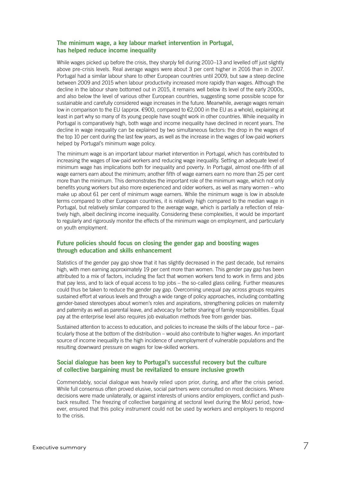#### The minimum wage, a key labour market intervention in Portugal, has helped reduce income inequality

While wages picked up before the crisis, they sharply fell during 2010–13 and levelled off just slightly above pre-crisis levels. Real average wages were about 3 per cent higher in 2016 than in 2007. Portugal had a similar labour share to other European countries until 2009, but saw a steep decline between 2009 and 2015 when labour productivity increased more rapidly than wages. Although the decline in the labour share bottomed out in 2015, it remains well below its level of the early 2000s, and also below the level of various other European countries, suggesting some possible scope for sustainable and carefully considered wage increases in the future. Meanwhile, average wages remain low in comparison to the EU (approx. €900, compared to €2,000 in the EU as a whole), explaining at least in part why so many of its young people have sought work in other countries. While inequality in Portugal is comparatively high, both wage and income inequality have declined in recent years. The decline in wage inequality can be explained by two simultaneous factors: the drop in the wages of the top 10 per cent during the last few years, as well as the increase in the wages of low-paid workers helped by Portugal's minimum wage policy.

The minimum wage is an important labour market intervention in Portugal, which has contributed to increasing the wages of low-paid workers and reducing wage inequality. Setting an adequate level of minimum wage has implications both for inequality and poverty. In Portugal, almost one-fifth of all wage earners earn about the minimum; another fifth of wage earners earn no more than 25 per cent more than the minimum. This demonstrates the important role of the minimum wage, which not only benefits young workers but also more experienced and older workers, as well as many women – who make up about 61 per cent of minimum wage earners. While the minimum wage is low in absolute terms compared to other European countries, it is relatively high compared to the median wage in Portugal, but relatively similar compared to the average wage, which is partially a reflection of relatively high, albeit declining income inequality. Considering these complexities, it would be important to regularly and rigorously monitor the effects of the minimum wage on employment, and particularly on youth employment.

#### Future policies should focus on closing the gender gap and boosting wages through education and skills enhancement

Statistics of the gender pay gap show that it has slightly decreased in the past decade, but remains high, with men earning approximately 19 per cent more than women. This gender pay gap has been attributed to a mix of factors, including the fact that women workers tend to work in firms and jobs that pay less, and to lack of equal access to top jobs – the so-called glass ceiling. Further measures could thus be taken to reduce the gender pay gap. Overcoming unequal pay across groups requires sustained effort at various levels and through a wide range of policy approaches, including combatting gender-based stereotypes about women's roles and aspirations, strengthening policies on maternity and paternity as well as parental leave, and advocacy for better sharing of family responsibilities. Equal pay at the enterprise level also requires job evaluation methods free from gender bias.

Sustained attention to access to education, and policies to increase the skills of the labour force – particularly those at the bottom of the distribution – would also contribute to higher wages. An important source of income inequality is the high incidence of unemployment of vulnerable populations and the resulting downward pressure on wages for low-skilled workers.

#### Social dialogue has been key to Portugal's successful recovery but the culture of collective bargaining must be revitalized to ensure inclusive growth

Commendably, social dialogue was heavily relied upon prior, during, and after the crisis period. While full consensus often proved elusive, social partners were consulted on most decisions. Where decisions were made unilaterally, or against interests of unions and/or employers, conflict and pushback resulted. The freezing of collective bargaining at sectoral level during the MoU period, however, ensured that this policy instrument could not be used by workers and employers to respond to the crisis.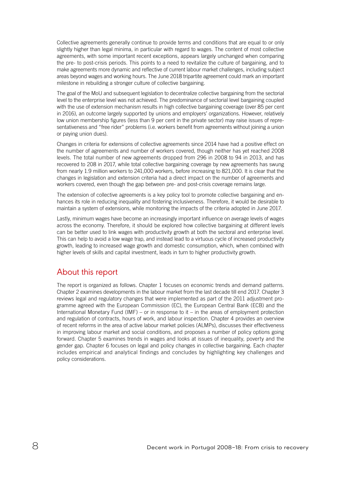Collective agreements generally continue to provide terms and conditions that are equal to or only slightly higher than legal minima, in particular with regard to wages. The content of most collective agreements, with some important recent exceptions, appears largely unchanged when comparing the pre- to post-crisis periods. This points to a need to revitalize the culture of bargaining, and to make agreements more dynamic and reflective of current labour market challenges, including subject areas beyond wages and working hours. The June 2018 tripartite agreement could mark an important milestone in rebuilding a stronger culture of collective bargaining.

The goal of the MoU and subsequent legislation to decentralize collective bargaining from the sectorial level to the enterprise level was not achieved. The predominance of sectorial level bargaining coupled with the use of extension mechanism results in high collective bargaining coverage (over 85 per cent in 2016), an outcome largely supported by unions and employers' organizations. However, relatively low union membership figures (less than 9 per cent in the private sector) may raise issues of representativeness and "free rider" problems (i.e. workers benefit from agreements without joining a union or paying union dues).

Changes in criteria for extensions of collective agreements since 2014 have had a positive effect on the number of agreements and number of workers covered, though neither has yet reached 2008 levels. The total number of new agreements dropped from 296 in 2008 to 94 in 2013, and has recovered to 208 in 2017, while total collective bargaining coverage by new agreements has swung from nearly 1.9 million workers to 241,000 workers, before increasing to 821,000. It is clear that the changes in legislation and extension criteria had a direct impact on the number of agreements and workers covered, even though the gap between pre- and post-crisis coverage remains large.

The extension of collective agreements is a key policy tool to promote collective bargaining and enhances its role in reducing inequality and fostering inclusiveness. Therefore, it would be desirable to maintain a system of extensions, while monitoring the impacts of the criteria adopted in June 2017.

Lastly, minimum wages have become an increasingly important influence on average levels of wages across the economy. Therefore, it should be explored how collective bargaining at different levels can be better used to link wages with productivity growth at both the sectoral and enterprise level. This can help to avoid a low wage trap, and instead lead to a virtuous cycle of increased productivity growth, leading to increased wage growth and domestic consumption, which, when combined with higher levels of skills and capital investment, leads in turn to higher productivity growth.

### About this report

The report is organized as follows. Chapter 1 focuses on economic trends and demand patterns. Chapter 2 examines developments in the labour market from the last decade till end 2017. Chapter 3 reviews legal and regulatory changes that were implemented as part of the 2011 adjustment programme agreed with the European Commission (EC), the European Central Bank (ECB) and the International Monetary Fund (IMF) – or in response to it – in the areas of employment protection and regulation of contracts, hours of work, and labour inspection. Chapter 4 provides an overview of recent reforms in the area of active labour market policies (ALMPs), discusses their effectiveness in improving labour market and social conditions, and proposes a number of policy options going forward. Chapter 5 examines trends in wages and looks at issues of inequality, poverty and the gender gap. Chapter 6 focuses on legal and policy changes in collective bargaining. Each chapter includes empirical and analytical findings and concludes by highlighting key challenges and policy considerations.